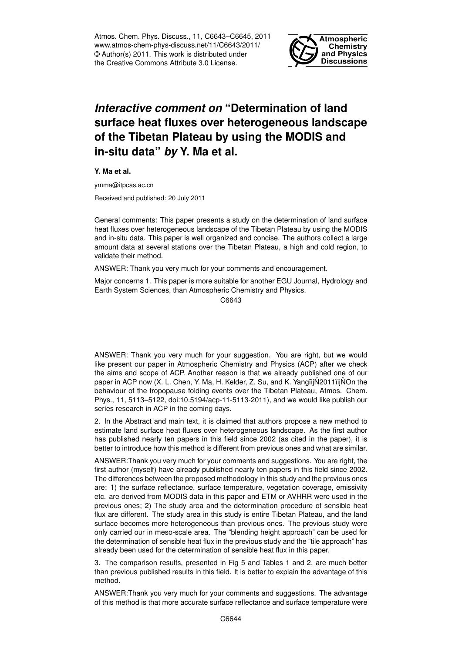Atmos. Chem. Phys. Discuss., 11, C6643–C6645, 2011 www.atmos-chem-phys-discuss.net/11/C6643/2011/ © Author(s) 2011. This work is distributed under the Creative Commons Attribute 3.0 License.



## *Interactive comment on* **"Determination of land surface heat fluxes over heterogeneous landscape of the Tibetan Plateau by using the MODIS and in-situ data"** *by* **Y. Ma et al.**

**Y. Ma et al.**

ymma@itpcas.ac.cn

Received and published: 20 July 2011

General comments: This paper presents a study on the determination of land surface heat fluxes over heterogeneous landscape of the Tibetan Plateau by using the MODIS and in-situ data. This paper is well organized and concise. The authors collect a large amount data at several stations over the Tibetan Plateau, a high and cold region, to validate their method.

ANSWER: Thank you very much for your comments and encouragement.

Major concerns 1. This paper is more suitable for another EGU Journal, Hydrology and Earth System Sciences, than Atmospheric Chemistry and Physics.

C6643

ANSWER: Thank you very much for your suggestion. You are right, but we would like present our paper in Atmospheric Chemistry and Physics (ACP) after we check the aims and scope of ACP. Another reason is that we already published one of our paper in ACP now (X. L. Chen, Y. Ma, H. Kelder, Z. Su, and K. Yangïij $\stackrel{\sim}{N}$ 2011ïij $\stackrel{\sim}{N}$ On the behaviour of the tropopause folding events over the Tibetan Plateau, Atmos. Chem. Phys., 11, 5113–5122, doi:10.5194/acp-11-5113-2011), and we would like publish our series research in ACP in the coming days.

2. In the Abstract and main text, it is claimed that authors propose a new method to estimate land surface heat fluxes over heterogeneous landscape. As the first author has published nearly ten papers in this field since 2002 (as cited in the paper), it is better to introduce how this method is different from previous ones and what are similar.

ANSWER:Thank you very much for your comments and suggestions. You are right, the first author (myself) have already published nearly ten papers in this field since 2002. The differences between the proposed methodology in this study and the previous ones are: 1) the surface reflectance, surface temperature, vegetation coverage, emissivity etc. are derived from MODIS data in this paper and ETM or AVHRR were used in the previous ones; 2) The study area and the determination procedure of sensible heat flux are different. The study area in this study is entire Tibetan Plateau, and the land surface becomes more heterogeneous than previous ones. The previous study were only carried our in meso-scale area. The "blending height approach" can be used for the determination of sensible heat flux in the previous study and the "tile approach" has already been used for the determination of sensible heat flux in this paper.

3. The comparison results, presented in Fig 5 and Tables 1 and 2, are much better than previous published results in this field. It is better to explain the advantage of this method.

ANSWER:Thank you very much for your comments and suggestions. The advantage of this method is that more accurate surface reflectance and surface temperature were